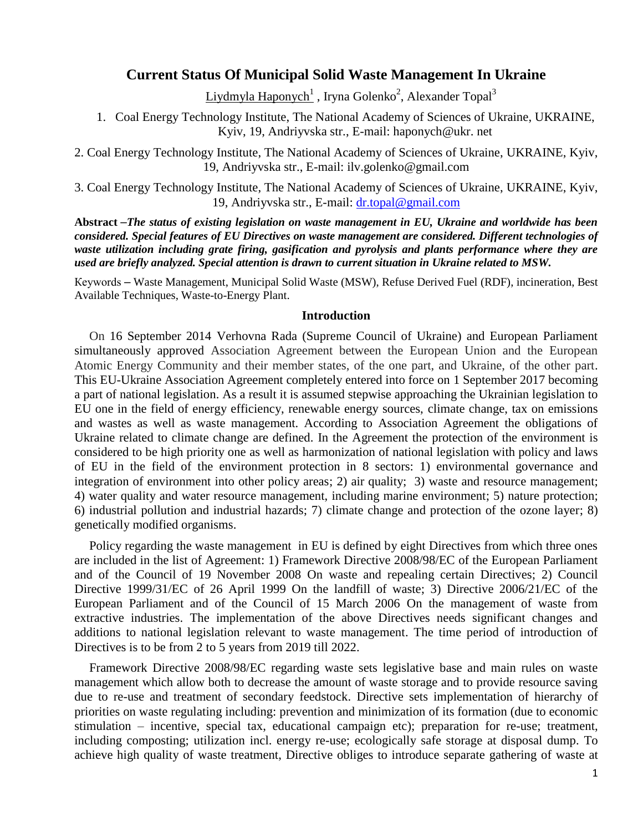# **Current Status Of Municipal Solid Waste Management In Ukraine**

 $Liydmyla Haponych<sup>1</sup>$  , Iryna Golenko<sup>2</sup>, Alexander Topal<sup>3</sup>

1. Coal Energy Technology Institute, The National Academy of Sciences of Ukraine, UKRAINE, Kyiv, 19, Andriyvska str., E-mail: haponych@ukr. net

2. Coal Energy Technology Institute, The National Academy of Sciences of Ukraine, UKRAINE, Kyiv, 19, Andriyvska str., E-mail: ilv.golenko@gmail.com

3. Coal Energy Technology Institute, The National Academy of Sciences of Ukraine, UKRAINE, Kyiv, 19, Andriyvska str., E-mail: [dr.topal@gmail.com](mailto:dr.topal@gmail.com)

**Abstract** –*The status of existing legislation on waste management in EU, Ukraine and worldwide has been considered. Special features of EU Directives on waste management are considered. Different technologies of waste utilization including grate firing, gasification and pyrolysis and plants performance where they are used are briefly analyzed. Special attention is drawn to current situation in Ukraine related to MSW.* 

Кеуwords – Waste Management, Municipal Solid Waste (MSW), Refuse Derived Fuel (RDF), incineration, Best Available Techniques, Waste-to-Energy Plant.

#### **Introduction**

On 16 September 2014 Verhovna Rada (Supreme Council of Ukraine) and European Parliament simultaneously approved Association Agreement between the European Union and the European Atomic Energy Community and their member states, of the one part, and Ukraine, of the other part. This EU-Ukraine Association Agreement completely entered into force on 1 September 2017 becoming a part of national legislation. As a result it is assumed stepwise approaching the Ukrainian legislation to EU one in the field of energy efficiency, renewable energy sources, climate change, tax on emissions and wastes as well as waste management. According to Association Agreement the obligations of Ukraine related to climate change are defined. In the Agreement the protection of the environment is considered to be high priority one as well as harmonization of national legislation with policy and laws of EU in the field of the environment protection in 8 sectors: 1) environmental governance and integration of environment into other policy areas; 2) air quality; 3) waste and resource management; 4) water quality and water resource management, including marine environment; 5) nature protection; 6) industrial pollution and industrial hazards; 7) climate change and protection of the ozone layer; 8) genetically modified organisms.

Policy regarding the waste management in EU is defined by eight Directives from which three ones are included in the list of Agreement: 1) Framework Directive 2008/98/EC of the European Parliament and of the Council of 19 November 2008 On waste and repealing certain Directives; 2) Council Directive 1999/31/EC of 26 April 1999 On the landfill of waste; 3) Directive 2006/21/EC of the European Parliament and of the Council of 15 March 2006 On the management of waste from extractive industries. The implementation of the above Directives needs significant changes and additions to national legislation relevant to waste management. The time period of introduction of Directives is to be from 2 to 5 years from 2019 till 2022.

Framework Directive 2008/98/EC regarding waste sets legislative base and main rules on waste management which allow both to decrease the amount of waste storage and to provide resource saving due to re-use and treatment of secondary feedstock. Directive sets implementation of hierarchy of priorities on waste regulating including: prevention and minimization of its formation (due to economic stimulation – incentive, special tax, educational campaign etc); preparation for re-use; treatment, including composting; utilization incl. energy re-use; ecologically safe storage at disposal dump. To achieve high quality of waste treatment, Directive obliges to introduce separate gathering of waste at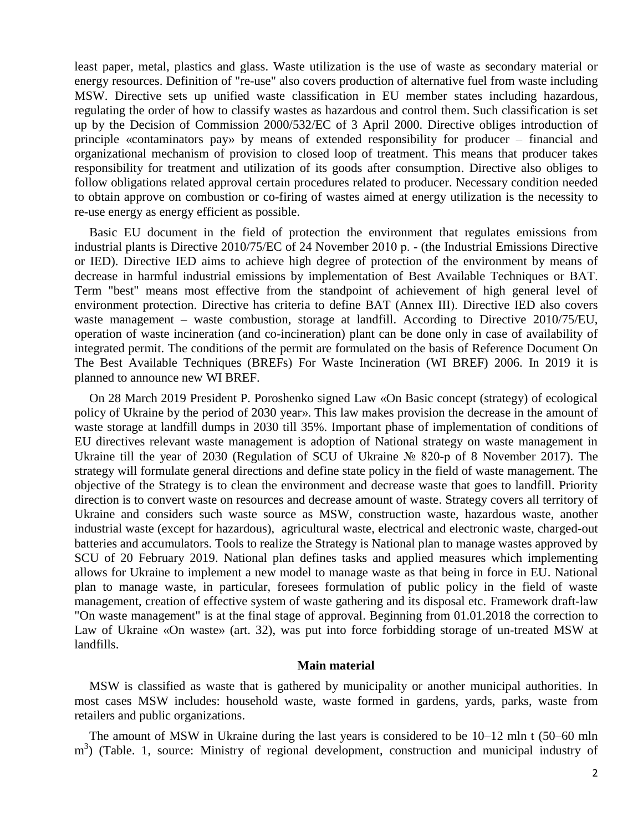least paper, metal, plastics and glass. Waste utilization is the use of waste as secondary material or energy resources. Definition of "re-use" also covers production of alternative fuel from waste including MSW. Directive sets up unified waste classification in EU member states including hazardous, regulating the order of how to classify wastes as hazardous and control them. Such classification is set up by the Decision of Commission 2000/532/EC of 3 April 2000. Directive obliges introduction of principle «contaminators pay» by means of extended responsibility for producer – financial and organizational mechanism of provision to closed loop of treatment. This means that producer takes responsibility for treatment and utilization of its goods after consumption. Directive also obliges to follow obligations related approval certain procedures related to producer. Necessary condition needed to obtain approve on combustion or co-firing of wastes aimed at energy utilization is the necessity to re-use energy as energy efficient as possible.

Basic EU document in the field of protection the environment that regulates emissions from industrial plants is Directive 2010/75/EC of 24 November 2010 р. - (the Industrial Emissions Directive or IED). Directive IED aims to achieve high degree of protection of the environment by means of decrease in harmful industrial emissions by implementation of Best Available Techniques or ВАТ. Term "best" means most effective from the standpoint of achievement of high general level of environment protection. Directive has criteria to define BAT (Annex ІІІ). Directive IED also covers waste management – waste combustion, storage at landfill. According to Directive 2010/75/EU, operation of waste incineration (and co-incineration) plant can be done only in case of availability of integrated permit. The conditions of the permit are formulated on the basis of Reference Document On The Best Available Techniques (BREFs) For Waste Incineration (WI BREF) 2006. In 2019 it is planned to announce new WI BREF.

On 28 March 2019 President P. Poroshenko signed Law «On Basic concept (strategy) of ecological policy of Ukraine by the period of 2030 year». This law makes provision the decrease in the amount of waste storage at landfill dumps in 2030 till 35%. Important phase of implementation of conditions of EU directives relevant waste management is adoption of National strategy on waste management in Ukraine till the year of 2030 (Regulation of SCU of Ukraine № 820-р of 8 November 2017). The strategy will formulate general directions and define state policy in the field of waste management. The objective of the Strategy is to clean the environment and decrease waste that goes to landfill. Priority direction is to convert waste on resources and decrease amount of waste. Strategy covers all territory of Ukraine and considers such waste source as MSW, construction waste, hazardous waste, another industrial waste (except for hazardous), agricultural waste, electrical and electronic waste, charged-out batteries and accumulators. Tools to realize the Strategy is National plan to manage wastes approved by SCU of 20 February 2019. National plan defines tasks and applied measures which implementing allows for Ukraine to implement a new model to manage waste as that being in force in EU. National plan to manage waste, in particular, foresees formulation of public policy in the field of waste management, creation of effective system of waste gathering and its disposal etc. Framework draft-law "On waste management" is at the final stage of approval. Beginning from 01.01.2018 the correction to Law of Ukraine «On waste» (art. 32), was put into force forbidding storage of un-treated MSW at landfills.

### **Main material**

MSW is classified as waste that is gathered by municipality or another municipal authorities. In most cases MSW includes: household waste, waste formed in gardens, yards, parks, waste from retailers and public organizations.

The amount of MSW in Ukraine during the last years is considered to be 10–12 mln t (50–60 mln m<sup>3</sup>) (Table. 1, source: Ministry of regional development, construction and municipal industry of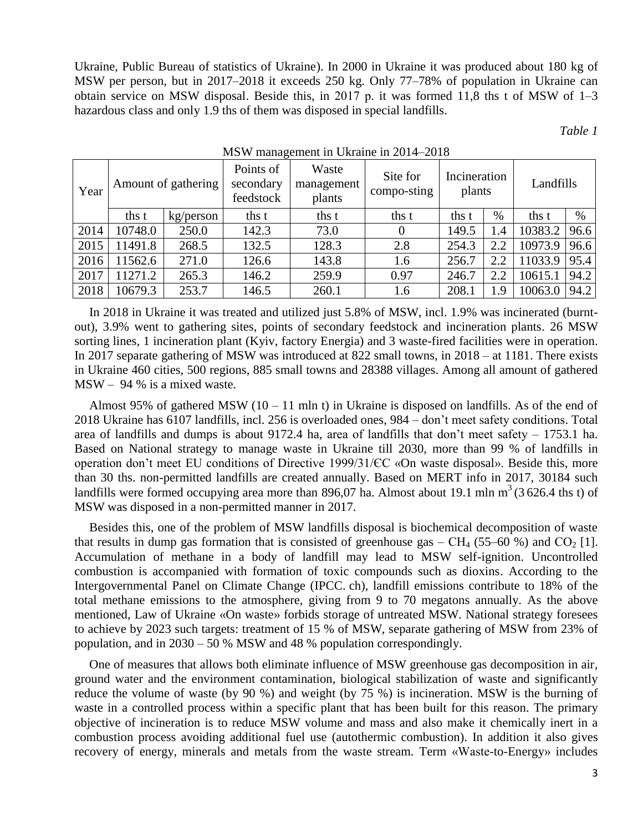Ukraine, Public Bureau of statistics of Ukraine). In 2000 in Ukraine it was produced about 180 kg of MSW per person, but in 2017–2018 it exceeds 250 kg. Only 77–78% of population in Ukraine can obtain service on MSW disposal. Beside this, in 2017 р. it was formed 11,8 ths t of MSW of 1–3 hazardous class and only 1.9 ths of them was disposed in special landfills.

*Table 1*

| Year | Amount of gathering |           | Points of<br>secondary<br>feedstock | Waste<br>management<br>plants | Site for<br>compo-sting | Incineration<br>plants |      | Landfills |      |
|------|---------------------|-----------|-------------------------------------|-------------------------------|-------------------------|------------------------|------|-----------|------|
|      | ths t               | kg/person | ths t                               | ths t                         | ths t                   | ths t                  | $\%$ | ths t     | $\%$ |
| 2014 | 10748.0             | 250.0     | 142.3                               | 73.0                          |                         | 149.5                  | 1.4  | 10383.2   | 96.6 |
| 2015 | 1491.8              | 268.5     | 132.5                               | 128.3                         | 2.8                     | 254.3                  | 2.2  | 10973.9   | 96.6 |
| 2016 | 11562.6             | 271.0     | 126.6                               | 143.8                         | 1.6                     | 256.7                  | 2.2  | 11033.9   | 95.4 |
| 2017 | 1271.2              | 265.3     | 146.2                               | 259.9                         | 0.97                    | 246.7                  | 2.2  | 10615.1   | 94.2 |
| 2018 | 10679.3             | 253.7     | 146.5                               | 260.1                         | 1.6                     | 208.1                  | 1.9  | 10063.0   | 94.2 |

#### MSW management in Ukraine in 2014–2018

In 2018 in Ukraine it was treated and utilized just 5.8% of MSW, incl. 1.9% was incinerated (burntout), 3.9% went to gathering sites, points of secondary feedstock and incineration plants. 26 MSW sorting lines, 1 incineration plant (Kyiv, factory Energia) and 3 waste-fired facilities were in operation. In 2017 separate gathering of MSW was introduced at 822 small towns, in 2018 – at 1181. There exists in Ukraine 460 cities, 500 regions, 885 small towns and 28388 villages. Among all amount of gathered MSW – 94 % is a mixed waste.

Almost 95% of gathered MSW  $(10 - 11 \text{ min t})$  in Ukraine is disposed on landfills. As of the end of 2018 Ukraine has 6107 landfills, incl. 256 is overloaded ones, 984 – don't meet safety conditions. Total area of landfills and dumps is about 9172.4 ha, area of landfills that don't meet safety – 1753.1 ha. Based on National strategy to manage waste in Ukraine till 2030, more than 99 % of landfills in operation don't meet EU conditions of Directive 1999/31/ЄС «On waste disposal». Beside this, more than 30 ths. non-permitted landfills are created annually. Based on MERT info in 2017, 30184 such landfills were formed occupying area more than 896,07 ha. Almost about 19.1 mln  $m<sup>3</sup>$  (3 626.4 ths t) of MSW was disposed in a non-permitted manner in 2017.

Besides this, one of the problem of MSW landfills disposal is biochemical decomposition of waste that results in dump gas formation that is consisted of greenhouse gas –  $CH_4$  (55–60 %) and  $CO_2$  [1]. Accumulation of methane in a body of landfill may lead to MSW self-ignition. Uncontrolled combustion is accompanied with formation of toxic compounds such as dioxins. According to the Intergovernmental Panel on Climate Change (IPCC. ch), landfill emissions contribute to 18% of the total methane emissions to the atmosphere, giving from 9 to 70 megatons annually. As the above mentioned, Law of Ukraine «On waste» forbids storage of untreated MSW. National strategy foresees to achieve by 2023 such targets: treatment of 15 % of MSW, separate gathering of MSW from 23% of population, and in 2030 – 50 % MSW and 48 % population correspondingly.

One of measures that allows both eliminate influence of MSW greenhouse gas decomposition in air, ground water and the environment contamination, biological stabilization of waste and significantly reduce the volume of waste (by 90 %) and weight (by 75 %) is incineration. MSW is the burning of waste in a controlled process within a specific plant that has been built for this reason. The primary objective of incineration is to reduce MSW volume and mass and also make it chemically inert in a combustion process avoiding additional fuel use (autothermic combustion). In addition it also gives recovery of energy, minerals and metals from the waste stream. Term «Wаste-to-Energy» includes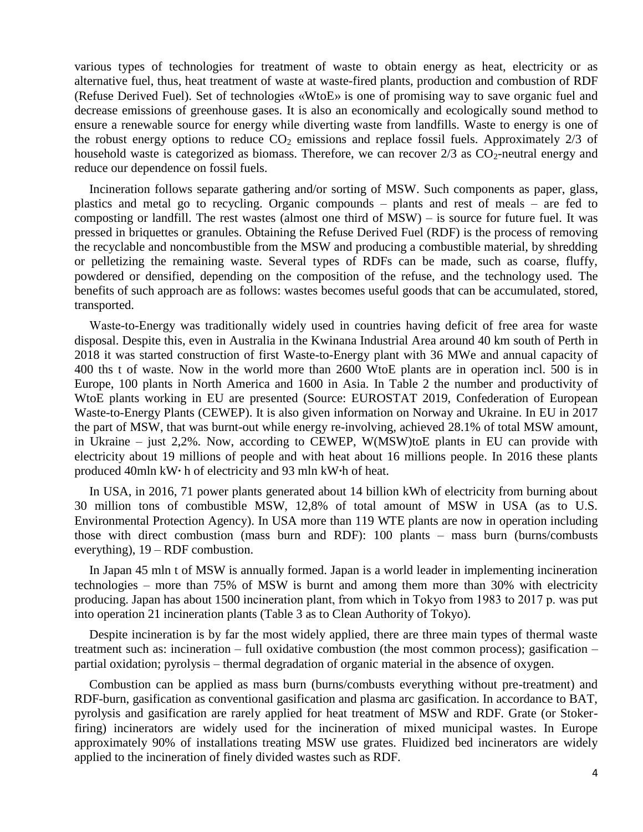various types of technologies for treatment of waste to obtain energy as heat, electricity or as alternative fuel, thus, heat treatment of waste at waste-fired plants, production and combustion of RDF (Refuse Derived Fuel). Set of technologies «WtoE» is one of promising way to save organic fuel and decrease emissions of greenhouse gases. It is also an economically and ecologically sound method to ensure a renewable source for energy while diverting waste from landfills. Waste to energy is one of the robust energy options to reduce  $CO<sub>2</sub>$  emissions and replace fossil fuels. Approximately 2/3 of household waste is categorized as biomass. Therefore, we can recover  $2/3$  as  $CO_2$ -neutral energy and reduce our dependence on fossil fuels.

Incineration follows separate gathering and/or sorting of MSW. Such components as paper, glass, plastics and metal go to recycling. Organic compounds – plants and rest of meals – are fed to composting or landfill. The rest wastes (almost one third of  $MSW$ ) – is source for future fuel. It was pressed in briquettes or granules. Obtaining the Refuse Derived Fuel (RDF) is the process of removing the recyclable and noncombustible from the MSW and producing a combustible material, by shredding or pelletizing the remaining waste. Several types of RDFs can be made, such as coarse, fluffy, powdered or densified, depending on the composition of the refuse, and the technology used. The benefits of such approach are as follows: wastes becomes useful goods that can be accumulated, stored, transported.

Wаste-to-Energy was traditionally widely used in countries having deficit of free area for waste disposal. Despite this, even in Australia in the Kwinana Industrial Area around 40 km south of Perth in 2018 it was started construction of first Waste-to-Energy plant with 36 MWe and annual capacity of 400 ths t of waste. Now in the world more than 2600 WtoE plants are in operation incl. 500 is in Europe, 100 plants in North America and 1600 in Asia. In Table 2 the number and productivity of WtoE plants working in EU are presented (Source: EUROSTAT 2019, Confederation of European Waste-to-Energy Plants (CEWEP). It is also given information on Norway and Ukraine. In EU in 2017 the part of MSW, that was burnt-out while energy re-involving, achieved 28.1% of total MSW amount, in Ukraine – just 2,2%. Now, according to CEWEP, W(MSW)toE plants in EU can provide with electricity about 19 millions of people and with heat about 16 millions people. In 2016 these plants produced 40mln kW**∙** h of electricity and 93 mln kW**∙**h of heat.

In USA, in 2016, 71 power plants generated about 14 billion kWh of electricity from burning about 30 million tons of combustible MSW, 12,8% of total amount of MSW in USA (as to U.S. Environmental Protection Agency). In USA more than 119 WTE plants are now in operation including those with direct combustion (mass burn and RDF): 100 plants – mass burn (burns/combusts everything), 19 – RDF combustion.

In Japan 45 mln t of MSW is annually formed. Japan is a world leader in implementing incineration technologies – more than 75% of MSW is burnt and among them more than 30% with electricity producing. Japan has about 1500 incineration plant, from which in Tokyo from 1983 to 2017 р. was put into operation 21 incineration plants (Table 3 as to Clean Authority of Tokyo).

Despite incineration is by far the most widely applied, there are three main types of thermal waste treatment such as: incineration – full oxidative combustion (the most common process); gasification – partial oxidation; pyrolysis – thermal degradation of organic material in the absence of oxygen.

Combustion can be applied as mass burn (burns/combusts everything without pre-treatment) and RDF-burn, gasification as conventional gasification and plasma arc gasification. In accordance to BAT, pyrolysis and gasification are rarely applied for heat treatment of MSW and RDF. Grate (or Stokerfiring) incinerators are widely used for the incineration of mixed municipal wastes. In Europe approximately 90% of installations treating MSW use grates. Fluidized bed incinerators are widely applied to the incineration of finely divided wastes such as RDF.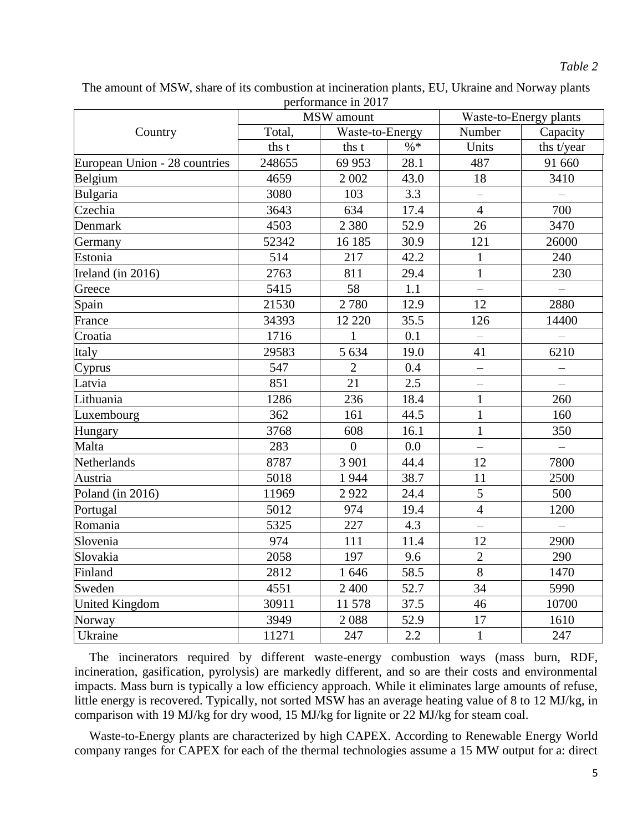The amount of MSW, share of its combustion at incineration plants, EU, Ukraine and Norway plants performance in 2017

|                               |        | MSW amount      | Waste-to-Energy plants |                          |                          |  |
|-------------------------------|--------|-----------------|------------------------|--------------------------|--------------------------|--|
| Country                       | Total, | Waste-to-Energy |                        | Number                   | Capacity                 |  |
|                               | ths t  | ths t           | $\% *$                 | Units                    | ths t/year               |  |
| European Union - 28 countries | 248655 | 69 953          | 28.1                   | 487                      | 91 660                   |  |
| Belgium                       | 4659   | 2 0 0 2         | 43.0                   | 18                       | 3410                     |  |
| Bulgaria                      | 3080   | 103             | 3.3                    | $\overline{\phantom{0}}$ |                          |  |
| Czechia                       | 3643   | 634             | 17.4                   | $\overline{4}$           | 700                      |  |
| Denmark                       | 4503   | 2 3 8 0         | 52.9                   | 26                       | 3470                     |  |
| Germany                       | 52342  | 16 185          | 30.9                   | 121                      | 26000                    |  |
| Estonia                       | 514    | 217             | 42.2                   | $\mathbf{1}$             | 240                      |  |
| Ireland (in 2016)             | 2763   | 811             | 29.4                   | $\mathbf{1}$             | 230                      |  |
| Greece                        | 5415   | 58<br>1.1       |                        | $\overline{\phantom{0}}$ |                          |  |
| Spain                         | 21530  | 2 7 8 0         | 12.9                   | 12                       | 2880                     |  |
| France                        | 34393  | 12 2 2 0        | 35.5                   | 126                      | 14400                    |  |
| Croatia                       | 1716   | $\mathbf{1}$    | 0.1                    |                          |                          |  |
| Italy                         | 29583  | 5 6 3 4         | 41<br>19.0             |                          | 6210                     |  |
| Cyprus                        | 547    | $\overline{2}$  | 0.4                    | $\frac{1}{2}$            |                          |  |
| Latvia                        | 851    | 21              | 2.5<br>$-$             |                          | $\overline{\phantom{0}}$ |  |
| Lithuania                     | 1286   | 236             | $\mathbf{1}$<br>18.4   |                          | 260                      |  |
| Luxembourg                    | 362    | 161             | 44.5                   | $\mathbf{1}$             | 160                      |  |
| Hungary                       | 3768   | 608             | 16.1                   | $\mathbf{1}$             | 350                      |  |
| Malta                         | 283    | $\overline{0}$  | 0.0                    | $\overline{\phantom{0}}$ |                          |  |
| Netherlands                   | 8787   | 3 9 0 1         | 44.4                   |                          | 7800                     |  |
| Austria                       | 5018   | 1944<br>38.7    |                        | 11                       | 2500                     |  |
| Poland (in 2016)              | 11969  | 2922            | 5<br>24.4              |                          | 500                      |  |
| Portugal                      | 5012   | 974             | 19.4                   | $\overline{4}$           | 1200                     |  |
| Romania                       | 5325   | 227             | 4.3<br>$\equiv$        |                          |                          |  |
| Slovenia                      | 974    | 111             | 11.4<br>12             |                          | 2900                     |  |
| Slovakia                      | 2058   | 197             | 9.6                    | $\overline{2}$           | 290                      |  |
| Finland                       | 2812   | 1646            | 58.5                   | $\overline{8}$           | 1470                     |  |
| Sweden                        | 4551   | 2 400           | 52.7                   | 34                       | 5990                     |  |
| <b>United Kingdom</b>         | 30911  | 11578           | 37.5                   | 46                       | 10700                    |  |
| Norway                        | 3949   | 2088            | 52.9                   | 17                       | 1610                     |  |
| Ukraine                       | 11271  | 247             | 2.2                    | $\mathbf{1}$             | 247                      |  |

The incinerators required by different waste-energy combustion ways (mass burn, RDF, incineration, gasification, pyrolysis) are markedly different, and so are their costs and environmental impacts. Mass burn is typically a low efficiency approach. While it eliminates large amounts of refuse, little energy is recovered. Typically, not sorted MSW has an average heating value of 8 to 12 MJ/kg, in comparison with 19 MJ/kg for dry wood, 15 MJ/kg for lignite or 22 MJ/kg for steam coal.

Waste-to-Energy plants are characterized by high CAPEX. According to Renewable Energy World company ranges for CAPEX for each of the thermal technologies assume a 15 MW output for a: direct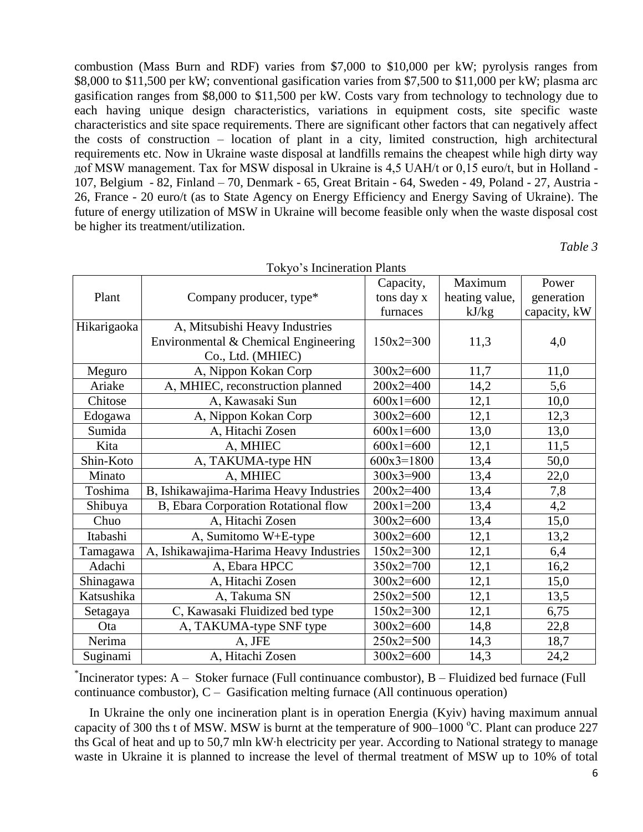combustion (Mass Burn and RDF) varies from \$7,000 to \$10,000 per kW; pyrolysis ranges from \$8,000 to \$11,500 per kW; conventional gasification varies from \$7,500 to \$11,000 per kW; plasma arc gasification ranges from \$8,000 to \$11,500 per kW. Costs vary from technology to technology due to each having unique design characteristics, variations in equipment costs, site specific waste characteristics and site space requirements. There are significant other factors that can negatively affect the costs of construction – location of plant in a city, limited construction, high architectural requirements etc. Now in Ukraine waste disposal at landfills remains the cheapest while high dirty way дof MSW management. Tax for MSW disposal in Ukraine is 4,5 UAH/t or 0,15 euro/t, but in Holland - 107, Belgium - 82, Finland – 70, Denmark - 65, Great Britain - 64, Sweden - 49, Poland - 27, Austria - 26, France - 20 euro/t (as to State Agency on Energy Efficiency and Energy Saving of Ukraine). The future of energy utilization of MSW in Ukraine will become feasible only when the waste disposal cost be higher its treatment/utilization.

*Table 3*

| TUNYU S INCHICIALIUM I IAMIS |                                         |              |                |              |  |  |  |  |  |
|------------------------------|-----------------------------------------|--------------|----------------|--------------|--|--|--|--|--|
|                              |                                         | Capacity,    | Maximum        | Power        |  |  |  |  |  |
| Plant                        | Company producer, type*                 | tons day x   | heating value, | generation   |  |  |  |  |  |
|                              |                                         | furnaces     | kJ/kg          | capacity, kW |  |  |  |  |  |
| Hikarigaoka                  | A, Mitsubishi Heavy Industries          |              |                |              |  |  |  |  |  |
|                              | Environmental & Chemical Engineering    | $150x2=300$  | 11,3           | 4,0          |  |  |  |  |  |
|                              | Co., Ltd. (MHIEC)                       |              |                |              |  |  |  |  |  |
| Meguro                       | A, Nippon Kokan Corp                    | $300x2=600$  | 11,7           | 11,0         |  |  |  |  |  |
| Ariake                       | A, MHIEC, reconstruction planned        | $200x2=400$  | 14,2           | 5,6          |  |  |  |  |  |
| Chitose                      | A, Kawasaki Sun                         | $600x1=600$  | 12,1           | 10,0         |  |  |  |  |  |
| Edogawa                      | A, Nippon Kokan Corp                    | $300x2=600$  | 12,1           | 12,3         |  |  |  |  |  |
| Sumida                       | A, Hitachi Zosen                        | $600x1=600$  | 13,0           | 13,0         |  |  |  |  |  |
| Kita                         | A, MHIEC                                | $600x1=600$  | 12,1           | 11,5         |  |  |  |  |  |
| Shin-Koto                    | A, TAKUMA-type HN                       | $600x3=1800$ | 13,4           | 50,0         |  |  |  |  |  |
| Minato                       | A, MHIEC                                | $300x3=900$  | 13,4           | 22,0         |  |  |  |  |  |
| Toshima                      | B, Ishikawajima-Harima Heavy Industries | $200x2=400$  | 13,4           | 7,8          |  |  |  |  |  |
| Shibuya                      | B, Ebara Corporation Rotational flow    | $200x1=200$  | 13,4           | 4,2          |  |  |  |  |  |
| Chuo                         | A, Hitachi Zosen                        | $300x2=600$  | 13,4           | 15,0         |  |  |  |  |  |
| Itabashi                     | A, Sumitomo W+E-type                    | $300x2=600$  | 12,1           | 13,2         |  |  |  |  |  |
| Tamagawa                     | A, Ishikawajima-Harima Heavy Industries | $150x2=300$  | 12,1           | 6,4          |  |  |  |  |  |
| Adachi                       | A, Ebara HPCC                           | $350x2=700$  | 12,1           | 16,2         |  |  |  |  |  |
| Shinagawa                    | A, Hitachi Zosen                        | $300x2=600$  | 12,1           | 15,0         |  |  |  |  |  |
| Katsushika                   | A, Takuma SN                            | $250x2=500$  | 12,1           | 13,5         |  |  |  |  |  |
| Setagaya                     | C, Kawasaki Fluidized bed type          | $150x2=300$  | 12,1           | 6,75         |  |  |  |  |  |
| Ota                          | A, TAKUMA-type SNF type                 | $300x2=600$  | 14,8           | 22,8         |  |  |  |  |  |
| Nerima                       | A, JFE                                  | $250x2=500$  | 14,3           | 18,7         |  |  |  |  |  |
| Suginami                     | A, Hitachi Zosen                        | $300x2=600$  | 14,3           | 24,2         |  |  |  |  |  |

Tokyo's Incineration Plants

\* Incinerator types: A – Stoker furnace (Full continuance combustor), B – Fluidized bed furnace (Full continuance combustor),  $C -$  Gasification melting furnace (All continuous operation)

In Ukraine the only one incineration plant is in operation Energia (Kyiv) having maximum annual capacity of 300 ths t of MSW. MSW is burnt at the temperature of  $900-1000$  °C. Plant can produce 227 ths Gcal of heat and up to 50,7 mln kW∙h electricity per year. According to National strategy to manage waste in Ukraine it is planned to increase the level of thermal treatment of MSW up to 10% of total